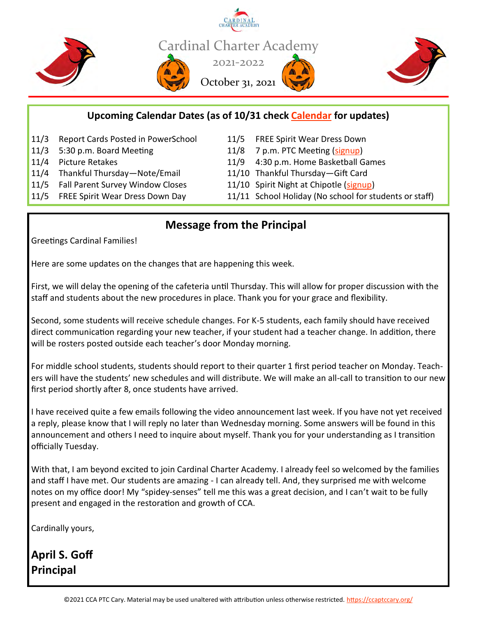

#### **Upcoming Calendar Dates (as of 10/31 check [Calendar](https://ccaptccary.org/calendar/) for updates)**

- 11/3 Report Cards Posted in PowerSchool 11/5 FREE Spirit Wear Dress Down
- 
- 
- 11/4 Thankful Thursday—Note/Email 11/10 Thankful Thursday—Gift Card
- 
- 
- 11/3 5:30 p.m. Board Meeting 11/8 7 p.m. PTC Meeting [\(signup\)](https://signup.com/go/ccaptcmeetings)
- 11/4 Picture Retakes 11/9 4:30 p.m. Home Basketball Games
	-
- 11/5 Fall Parent Survey Window Closes 11/10 Spirit Night at Chipotle [\(signup\)](https://signup.com/go/ccaevents)
- 11/5 FREE Spirit Wear Dress Down Day 11/11 School Holiday (No school for students or staff)

#### **Message from the Principal**

Greetings Cardinal Families!

Here are some updates on the changes that are happening this week.

First, we will delay the opening of the cafeteria until Thursday. This will allow for proper discussion with the staff and students about the new procedures in place. Thank you for your grace and flexibility.

Second, some students will receive schedule changes. For K-5 students, each family should have received direct communication regarding your new teacher, if your student had a teacher change. In addition, there will be rosters posted outside each teacher's door Monday morning.

For middle school students, students should report to their quarter 1 first period teacher on Monday. Teachers will have the students' new schedules and will distribute. We will make an all-call to transition to our new first period shortly after 8, once students have arrived.

I have received quite a few emails following the video announcement last week. If you have not yet received a reply, please know that I will reply no later than Wednesday morning. Some answers will be found in this announcement and others I need to inquire about myself. Thank you for your understanding as I transition officially Tuesday.

With that, I am beyond excited to join Cardinal Charter Academy. I already feel so welcomed by the families and staff I have met. Our students are amazing - I can already tell. And, they surprised me with welcome notes on my office door! My "spidey-senses" tell me this was a great decision, and I can't wait to be fully present and engaged in the restoration and growth of CCA.

Cardinally yours,

**April S. Goff Principal**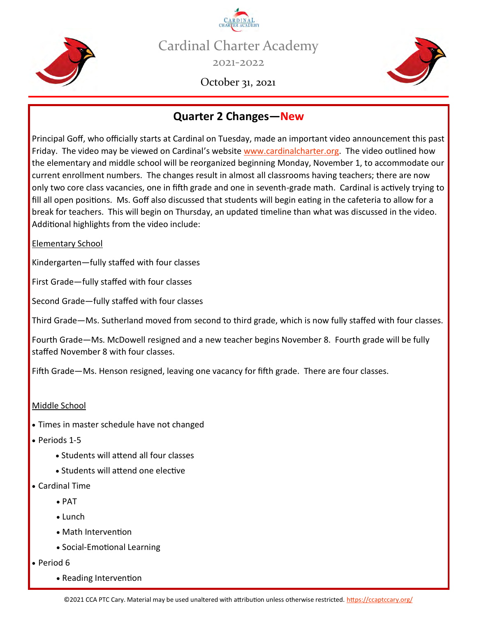



October 31, 2021



#### **Quarter 2 Changes—New**

Principal Goff, who officially starts at Cardinal on Tuesday, made an important video announcement this past Friday. The video may be viewed on Cardinal's website [www.cardinalcharter.org.](http://www.cardinalcharter.org) The video outlined how the elementary and middle school will be reorganized beginning Monday, November 1, to accommodate our current enrollment numbers. The changes result in almost all classrooms having teachers; there are now only two core class vacancies, one in fifth grade and one in seventh-grade math. Cardinal is actively trying to fill all open positions. Ms. Goff also discussed that students will begin eating in the cafeteria to allow for a break for teachers. This will begin on Thursday, an updated timeline than what was discussed in the video. Additional highlights from the video include:

Elementary School

Kindergarten—fully staffed with four classes

First Grade—fully staffed with four classes

Second Grade—fully staffed with four classes

Third Grade—Ms. Sutherland moved from second to third grade, which is now fully staffed with four classes.

Fourth Grade—Ms. McDowell resigned and a new teacher begins November 8. Fourth grade will be fully staffed November 8 with four classes.

Fifth Grade—Ms. Henson resigned, leaving one vacancy for fifth grade. There are four classes.

#### Middle School

- Times in master schedule have not changed
- Periods 1-5
	- Students will attend all four classes
	- Students will attend one elective
- Cardinal Time
	- PAT
	- Lunch
	- Math Intervention
	- Social-Emotional Learning
- Period 6
	- Reading Intervention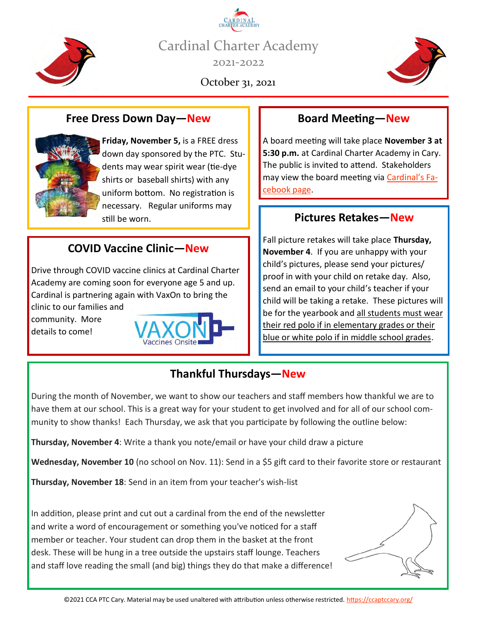

October 31, 2021



#### **Free Dress Down Day—New**



**Friday, November 5,** is a FREE dress down day sponsored by the PTC. Students may wear spirit wear (tie-dye shirts or baseball shirts) with any uniform bottom. No registration is necessary. Regular uniforms may still be worn. **Pictures Retakes—New**

#### **COVID Vaccine Clinic—New**

Drive through COVID vaccine clinics at Cardinal Charter Academy are coming soon for everyone age 5 and up. Cardinal is partnering again with VaxOn to bring the

clinic to our families and community. More details to come!



#### **Board Meeting—New**

A board meeting will take place **November 3 at 5:30 p.m.** at Cardinal Charter Academy in Cary. The public is invited to attend. Stakeholders may view the board meeting via [Cardinal](https://www.facebook.com/CardinalCharter)'s Fa[cebook page.](https://www.facebook.com/CardinalCharter)

Fall picture retakes will take place **Thursday, November 4**. If you are unhappy with your child's pictures, please send your pictures/ proof in with your child on retake day. Also, send an email to your child's teacher if your child will be taking a retake. These pictures will be for the yearbook and all students must wear their red polo if in elementary grades or their blue or white polo if in middle school grades.

#### **Thankful Thursdays—New**

During the month of November, we want to show our teachers and staff members how thankful we are to have them at our school. This is a great way for your student to get involved and for all of our school community to show thanks! Each Thursday, we ask that you participate by following the outline below:

**Thursday, November 4**: Write a thank you note/email or have your child draw a picture

**Wednesday, November 10** (no school on Nov. 11): Send in a \$5 gift card to their favorite store or restaurant

**Thursday, November 18**: Send in an item from your teacher's wish-list

In addition, please print and cut out a cardinal from the end of the newsletter and write a word of encouragement or something you've noticed for a staff member or teacher. Your student can drop them in the basket at the front desk. These will be hung in a tree outside the upstairs staff lounge. Teachers and staff love reading the small (and big) things they do that make a difference!

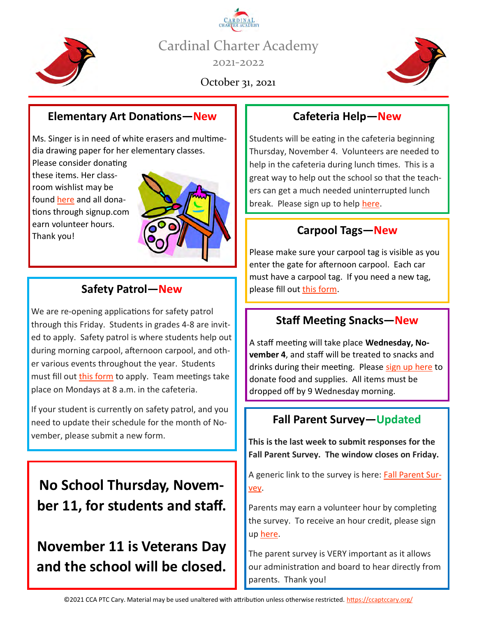

October 31, 2021



#### **Elementary Art Donations—New**

Ms. Singer is in need of white erasers and multimedia drawing paper for her elementary classes.

Please consider donating these items. Her classroom wishlist may be found [here](https://signup.com/go/ccaartwishlist) and all donations through signup.com earn volunteer hours. Thank you!



#### **Safety Patrol—New**

We are re-opening applications for safety patrol through this Friday. Students in grades 4-8 are invited to apply. Safety patrol is where students help out during morning carpool, afternoon carpool, and other various events throughout the year. Students must fill out [this form](https://forms.office.com/r/WjpaGTAenP) to apply. Team meetings take place on Mondays at 8 a.m. in the cafeteria.

If your student is currently on safety patrol, and you need to update their schedule for the month of November, please submit a new form.

### **No School Thursday, November 11, for students and staff.**

**November 11 is Veterans Day and the school will be closed.**

#### **Cafeteria Help—New**

Students will be eating in the cafeteria beginning Thursday, November 4. Volunteers are needed to help in the cafeteria during lunch times. This is a great way to help out the school so that the teachers can get a much needed uninterrupted lunch break. Please sign up to help [here.](https://signup.com/go/ccacarpoolcafeteria)

#### **Carpool Tags—New**

Please make sure your carpool tag is visible as you enter the gate for afternoon carpool. Each car must have a carpool tag. If you need a new tag, please fill out [this form.](https://forms.office.com/r/xfq7n5r7C7)

#### **Staff Meeting Snacks—New**

A staff meeting will take place **Wednesday, November 4**, and staff will be treated to snacks and drinks during their meeting. Please [sign up here](https://signup.com/go/ccastaffappreciation) to donate food and supplies. All items must be dropped off by 9 Wednesday morning.

#### **Fall Parent Survey—Updated**

**This is the last week to submit responses for the Fall Parent Survey. The window closes on Friday.**

A generic link to the survey is here: **[Fall Parent Sur](https://www.surveymonkey.com/r/CSUSA_2122_Fall_Parent)**[vey.](https://www.surveymonkey.com/r/CSUSA_2122_Fall_Parent)

Parents may earn a volunteer hour by completing the survey. To receive an hour credit, please sign up [here.](https://signup.com/go/ccaptcmeetings)

The parent survey is VERY important as it allows our administration and board to hear directly from parents. Thank you!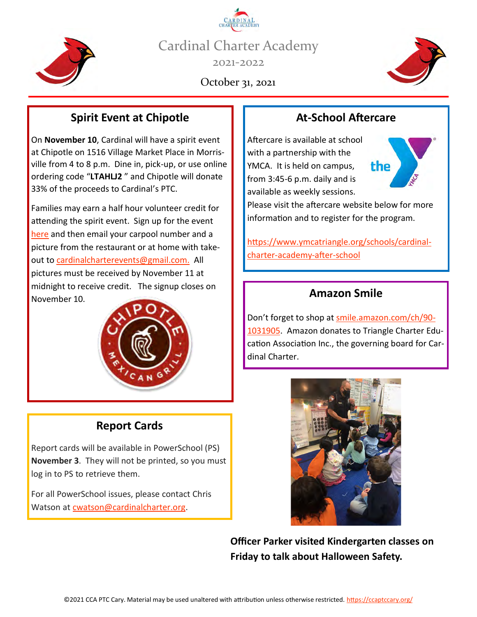

October 31, 2021



#### **Spirit Event at Chipotle**

On **November 10**, Cardinal will have a spirit event at Chipotle on 1516 Village Market Place in Morrisville from 4 to 8 p.m. Dine in, pick-up, or use online ordering code "**LTAHLJ2** " and Chipotle will donate 33% of the proceeds to Cardinal's PTC.

Families may earn a half hour volunteer credit for attending the spirit event. Sign up for the event [here](https://signup.com/go/ccaevents) and then email your carpool number and a picture from the restaurant or at home with takeout to [cardinalcharterevents@gmail.com.](mailto:cardinalcharterevents@gmail.com) All pictures must be received by November 11 at midnight to receive credit. The signup closes on November 10.



#### **Report Cards**

Report cards will be available in PowerSchool (PS) **November 3**. They will not be printed, so you must log in to PS to retrieve them.

For all PowerSchool issues, please contact Chris Watson at [cwatson@cardinalcharter.org.](mailto:cwatson@cardinalcharter.org)

#### **At-School Aftercare**

Aftercare is available at school with a partnership with the YMCA. It is held on campus, from 3:45-6 p.m. daily and is available as weekly sessions.



Please visit the aftercare website below for more information and to register for the program.

[https://www.ymcatriangle.org/schools/cardinal](https://www.ymcatriangle.org/schools/cardinal-charter-academy-cary-after-school)charter-[academy](https://www.ymcatriangle.org/schools/cardinal-charter-academy-cary-after-school)-after-school

#### **Amazon Smile**

Don't forget to shop at [smile.amazon.com/ch/90](smile.amazon.com/ch/90-1031905)- [1031905.](smile.amazon.com/ch/90-1031905) Amazon donates to Triangle Charter Education Association Inc., the governing board for Cardinal Charter.



**Officer Parker visited Kindergarten classes on Friday to talk about Halloween Safety.**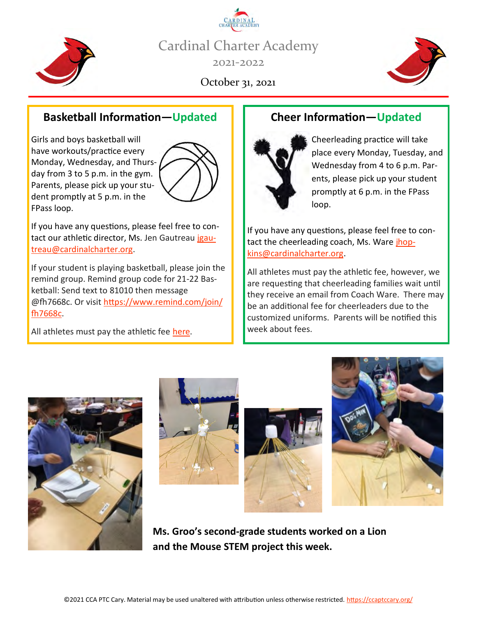



October 31, 2021

#### **Basketball Information—Updated**

Girls and boys basketball will have workouts/practice every Monday, Wednesday, and Thursday from 3 to 5 p.m. in the gym. Parents, please pick up your student promptly at 5 p.m. in the FPass loop.



If you have any questions, please feel free to contact our athletic director, Ms. Jen Gautreau [jgau](mailto:jgautreau@cardinalcharter.org)[treau@cardinalcharter.org.](mailto:jgautreau@cardinalcharter.org)

If your student is playing basketball, please join the remind group. Remind group code for 21-22 Basketball: Send text to 81010 then message @fh7668c. Or visit [https://www.remind.com/join/](https://www.remind.com/join/fh7668c) [fh7668c.](https://www.remind.com/join/fh7668c)

All athletes must pay the athletic fee [here.](https://give.classy.org/CCA2022Athletics)

#### **Cheer Information—Updated**



Cheerleading practice will take place every Monday, Tuesday, and Wednesday from 4 to 6 p.m. Parents, please pick up your student promptly at 6 p.m. in the FPass loop.

If you have any questions, please feel free to contact the cheerleading coach, Ms. Ware [jhop](mailto:jhopkins@cardinalcharter.org)[kins@cardinalcharter.org.](mailto:jhopkins@cardinalcharter.org)

All athletes must pay the athletic fee, however, we are requesting that cheerleading families wait until they receive an email from Coach Ware. There may be an additional fee for cheerleaders due to the customized uniforms. Parents will be notified this week about fees.









**Ms. Groo's second-grade students worked on a Lion and the Mouse STEM project this week.**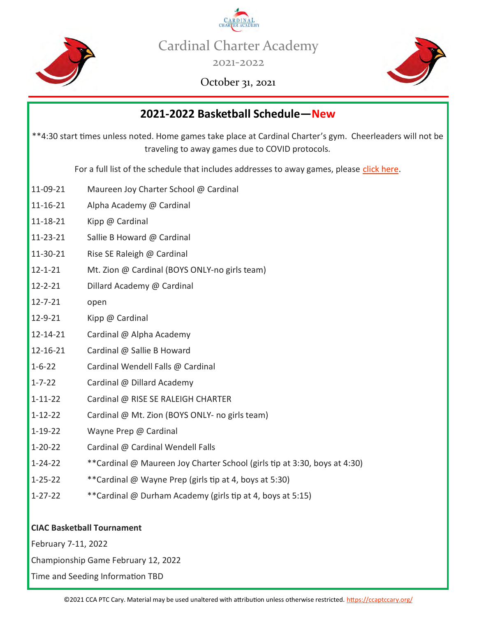



2021-2022

#### October 31, 2021



#### **2021-2022 Basketball Schedule—New**

\*\*4:30 start times unless noted. Home games take place at Cardinal Charter's gym. Cheerleaders will not be traveling to away games due to COVID protocols.

For a full list of the schedule that includes addresses to away games, please [click here.](https://ccaptccary.org/2021-2022-basketball-schedule/)

- 11-09-21 Maureen Joy Charter School @ Cardinal
- 11-16-21 Alpha Academy @ Cardinal
- 11-18-21 Kipp @ Cardinal
- 11-23-21 Sallie B Howard @ Cardinal
- 11-30-21 Rise SE Raleigh @ Cardinal
- 12-1-21 Mt. Zion @ Cardinal (BOYS ONLY-no girls team)
- 12-2-21 Dillard Academy @ Cardinal
- 12-7-21 open
- 12-9-21 Kipp @ Cardinal
- 12-14-21 Cardinal @ Alpha Academy
- 12-16-21 Cardinal @ Sallie B Howard
- 1-6-22 Cardinal Wendell Falls @ Cardinal
- 1-7-22 Cardinal @ Dillard Academy
- 1-11-22 Cardinal @ RISE SE RALEIGH CHARTER
- 1-12-22 Cardinal @ Mt. Zion (BOYS ONLY- no girls team)
- 1-19-22 Wayne Prep @ Cardinal
- 1-20-22 Cardinal @ Cardinal Wendell Falls
- 1-24-22 \*\*Cardinal @ Maureen Joy Charter School (girls tip at 3:30, boys at 4:30)
- 1-25-22 \*\*Cardinal @ Wayne Prep (girls tip at 4, boys at 5:30)
- 1-27-22 \*\*Cardinal @ Durham Academy (girls tip at 4, boys at 5:15)

#### **CIAC Basketball Tournament**

February 7-11, 2022

Championship Game February 12, 2022

Time and Seeding Information TBD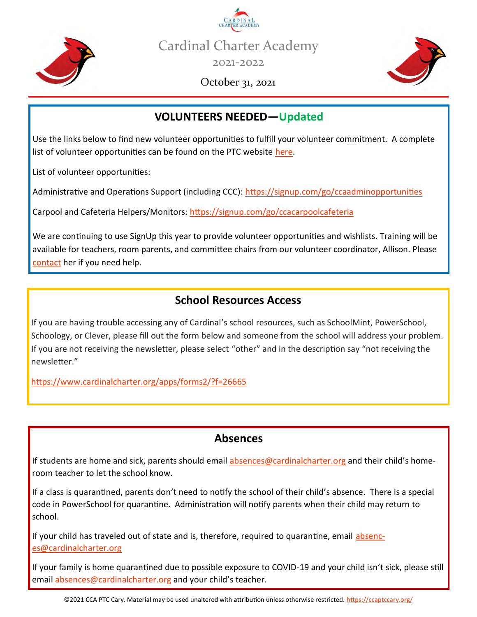



2021-2022

October 31, 2021



#### **VOLUNTEERS NEEDED—Updated**

Use the links below to find new volunteer opportunities to fulfill your volunteer commitment. A complete list of volunteer opportunities can be found on the PTC website [here.](https://ccaptccary.org/volunteer-opportunities/)

List of volunteer opportunities:

Administrative and Operations Support (including CCC): https://signup.com/go/ccaadminopportunities

Carpool and Cafeteria Helpers/Monitors: <https://signup.com/go/ccacarpoolcafeteria>

We are continuing to use SignUp this year to provide volunteer opportunities and wishlists. Training will be available for teachers, room parents, and committee chairs from our volunteer coordinator, Allison. Please [contact](mailto:ccacommunityinvolvement@gmail.com) [her](mailto:ccacommunityinvolvement@gmail.com) if you need help.

#### **School Resources Access**

If you are having trouble accessing any of Cardinal's school resources, such as SchoolMint, PowerSchool, Schoology, or Clever, please fill out the form below and someone from the school will address your problem. If you are not receiving the newsletter, please select "other" and in the description say "not receiving the newsletter."

<https://www.cardinalcharter.org/apps/forms2/?f=26665>

#### **Absences**

If students are home and sick, parents should email [absences@cardinalcharter.org](mailto:absences@cardinalcharter.org) and their child's homeroom teacher to let the school know.

If a class is quarantined, parents don't need to notify the school of their child's absence. There is a special code in PowerSchool for quarantine. Administration will notify parents when their child may return to school.

If your child has traveled out of state and is, therefore, required to quarantine, email [absenc](mailto:absences@cardinalcharter.org)[es@cardinalcharter.org](mailto:absences@cardinalcharter.org)

If your family is home quarantined due to possible exposure to COVID-19 and your child isn't sick, please still email [absences@cardinalcharter.org](mailto:absences@cardinalcharter.org) and your child's teacher.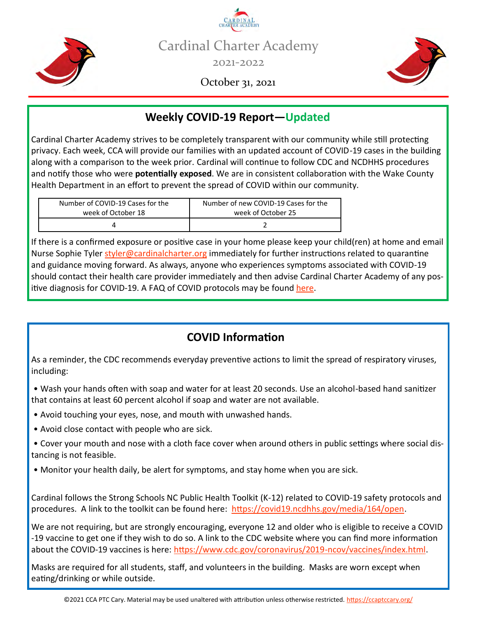



October 31, 2021



#### **Weekly COVID-19 Report—Updated**

Cardinal Charter Academy strives to be completely transparent with our community while still protecting privacy. Each week, CCA will provide our families with an updated account of COVID-19 cases in the building along with a comparison to the week prior. Cardinal will continue to follow CDC and NCDHHS procedures and notify those who were **potentially exposed**. We are in consistent collaboration with the Wake County Health Department in an effort to prevent the spread of COVID within our community.

| Number of COVID-19 Cases for the | Number of new COVID-19 Cases for the |
|----------------------------------|--------------------------------------|
| week of October 18               | week of October 25                   |
|                                  |                                      |

If there is a confirmed exposure or positive case in your home please keep your child(ren) at home and email Nurse Sophie Tyler [styler@cardinalcharter.org](mailto:styler@cardinalcharter.org) immediately for further instructions related to quarantine and guidance moving forward. As always, anyone who experiences symptoms associated with COVID-19 should contact their health care provider immediately and then advise Cardinal Charter Academy of any positive diagnosis for COVID-19. A FAQ of COVID protocols may be found [here.](https://ccaptccary.org/wp-content/uploads/2021/09/COVID-Protocols-FAQs.pdf)

#### **COVID Information**

As a reminder, the CDC recommends everyday preventive actions to limit the spread of respiratory viruses, including:

• Wash your hands often with soap and water for at least 20 seconds. Use an alcohol-based hand sanitizer that contains at least 60 percent alcohol if soap and water are not available.

- Avoid touching your eyes, nose, and mouth with unwashed hands.
- Avoid close contact with people who are sick.
- Cover your mouth and nose with a cloth face cover when around others in public settings where social distancing is not feasible.
- Monitor your health daily, be alert for symptoms, and stay home when you are sick.

Cardinal follows the Strong Schools NC Public Health Toolkit (K-12) related to COVID-19 safety protocols and procedures. A link to the toolkit can be found here: [https://covid19.ncdhhs.gov/media/164/open.](https://covid19.ncdhhs.gov/media/164/open)

We are not requiring, but are strongly encouraging, everyone 12 and older who is eligible to receive a COVID -19 vaccine to get one if they wish to do so. A link to the CDC website where you can find more information about the COVID-19 vaccines is here: [https://www.cdc.gov/coronavirus/2019](https://www.cdc.gov/coronavirus/2019-ncov/vaccines/index.html)-ncov/vaccines/index.html.

Masks are required for all students, staff, and volunteers in the building. Masks are worn except when eating/drinking or while outside.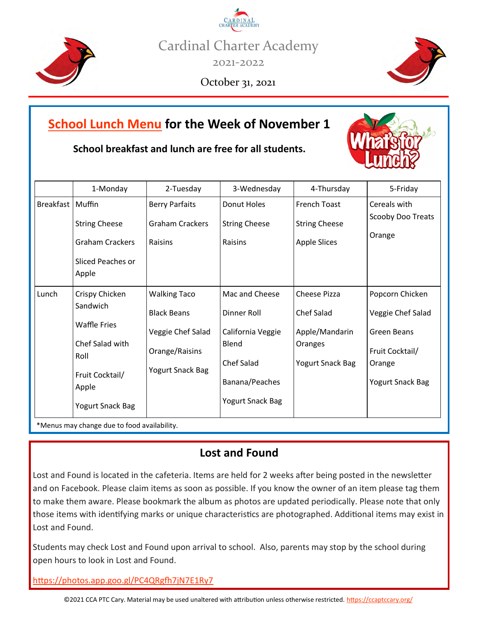



October 31, 2021



#### **[School Lunch Menu](https://csusa-nc.nutrislice.com/m/cardinal-charter-academy) for the Week of November 1**

#### **School breakfast and lunch are free for all students.**



\*Menus may change due to food availability.

#### **Lost and Found**

Lost and Found is located in the cafeteria. Items are held for 2 weeks after being posted in the newsletter and on Facebook. Please claim items as soon as possible. If you know the owner of an item please tag them to make them aware. Please bookmark the album as photos are updated periodically. Please note that only those items with identifying marks or unique characteristics are photographed. Additional items may exist in Lost and Found.

Students may check Lost and Found upon arrival to school. Also, parents may stop by the school during open hours to look in Lost and Found.

[https://photos.app.goo.gl/PC4QRgfh7jN7E1Ry7](https://photos.app.goo.gl/PC4QRgfh7jN7E1Ry7?fbclid=IwAR3YwX8em2BHK0No9GXw-SIyYDLcoc-OU9vpu32kg07RSAe4OTAzU59DlEc)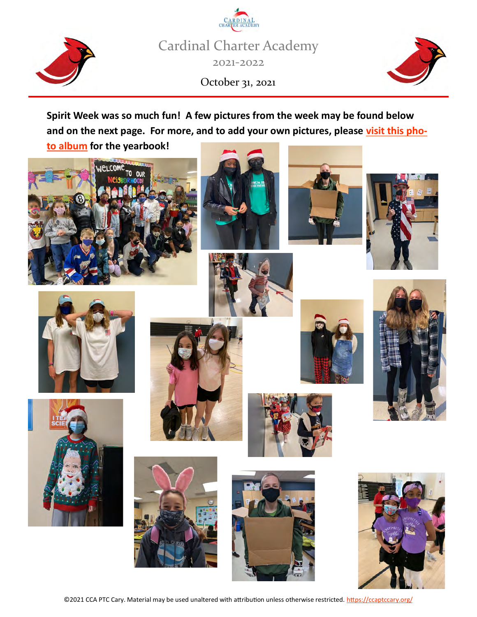

October 31, 2021 Cardinal Charter Academy 2021-2022



**Spirit Week was so much fun! A few pictures from the week may be found below and on the next page. For more, and to add your own pictures, please [visit this pho-](https://photos.app.goo.gl/m12ZhyjeUnFdMWoY8)**

**[to album](https://photos.app.goo.gl/m12ZhyjeUnFdMWoY8) for the yearbook!**





























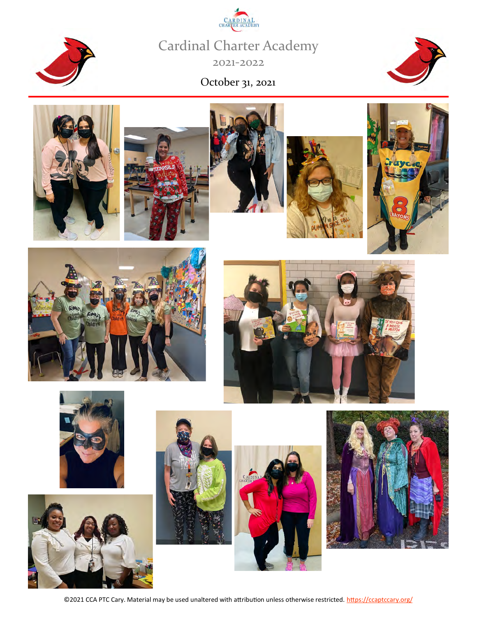| CARDINAL               |
|------------------------|
| <b>CHARTER ACADEMY</b> |
|                        |



2021-2022

#### October 31, 2021

























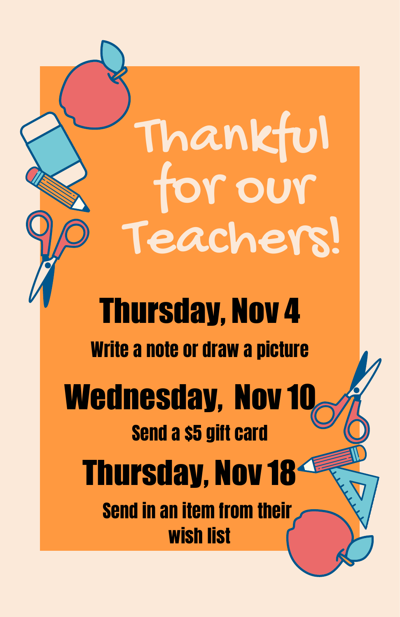# Thankful for our Teachers! Thursday, Nov 4 Write a note or draw a picture Wednesday, Nov 10 Send a \$5 gift card Thursday, Nov 18 Send in an item from their wish list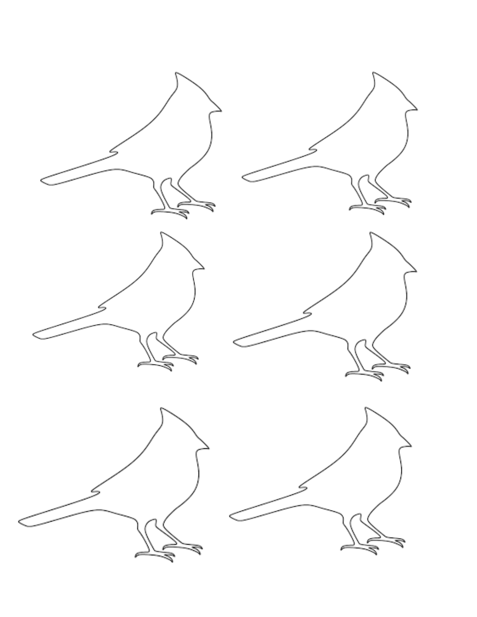